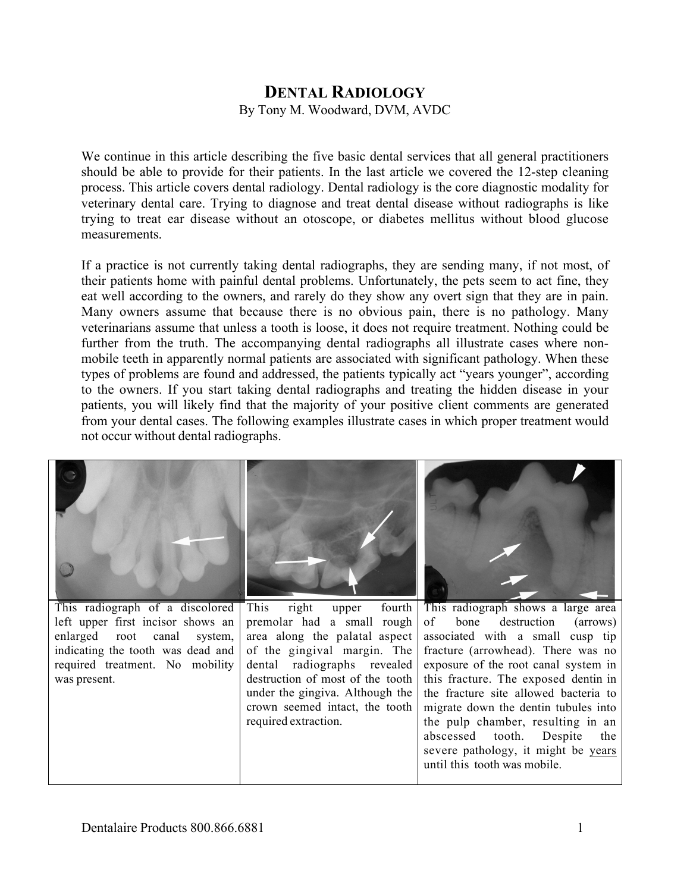## **DENTAL RADIOLOGY**

By Tony M. Woodward, DVM, AVDC

We continue in this article describing the five basic dental services that all general practitioners should be able to provide for their patients. In the last article we covered the 12-step cleaning process. This article covers dental radiology. Dental radiology is the core diagnostic modality for veterinary dental care. Trying to diagnose and treat dental disease without radiographs is like trying to treat ear disease without an otoscope, or diabetes mellitus without blood glucose measurements.

If a practice is not currently taking dental radiographs, they are sending many, if not most, of their patients home with painful dental problems. Unfortunately, the pets seem to act fine, they eat well according to the owners, and rarely do they show any overt sign that they are in pain. Many owners assume that because there is no obvious pain, there is no pathology. Many veterinarians assume that unless a tooth is loose, it does not require treatment. Nothing could be further from the truth. The accompanying dental radiographs all illustrate cases where nonmobile teeth in apparently normal patients are associated with significant pathology. When these types of problems are found and addressed, the patients typically act "years younger", according to the owners. If you start taking dental radiographs and treating the hidden disease in your patients, you will likely find that the majority of your positive client comments are generated from your dental cases. The following examples illustrate cases in which proper treatment would not occur without dental radiographs.

| This radiograph of a discolored   | right upper<br>This<br>fourth    | This radiograph shows a large area    |
|-----------------------------------|----------------------------------|---------------------------------------|
| left upper first incisor shows an | premolar had a small rough       | of bone destruction (arrows)          |
| enlarged root canal system,       | area along the palatal aspect    | associated with a small cusp tip      |
| indicating the tooth was dead and | of the gingival margin. The      | fracture (arrowhead). There was no    |
| required treatment. No mobility   | dental radiographs revealed      | exposure of the root canal system in  |
| was present.                      | destruction of most of the tooth | this fracture. The exposed dentin in  |
|                                   | under the gingiva. Although the  | the fracture site allowed bacteria to |
|                                   | crown seemed intact, the tooth   | migrate down the dentin tubules into  |
|                                   | required extraction.             | the pulp chamber, resulting in an     |
|                                   |                                  | abscessed tooth. Despite<br>the       |
|                                   |                                  | severe pathology, it might be years   |
|                                   |                                  | until this tooth was mobile.          |
|                                   |                                  |                                       |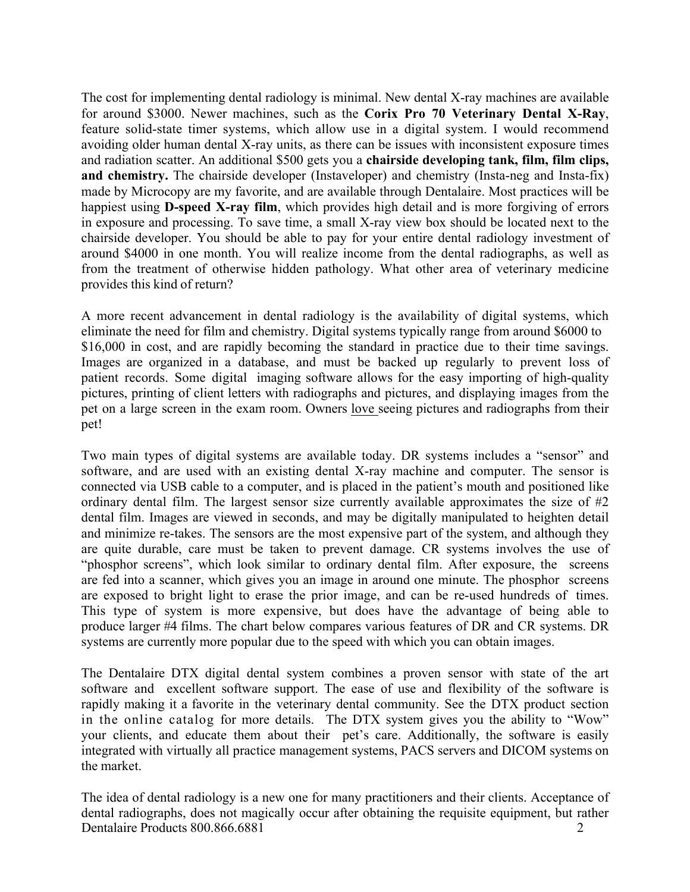The cost for implementing dental radiology is minimal. New dental X-ray machines are available for around \$3000. Newer machines, such as the **Corix Pro 70 Veterinary Dental X-Ray**, feature solid-state timer systems, which allow use in a digital system. I would recommend avoiding older human dental X-ray units, as there can be issues with inconsistent exposure times and radiation scatter. An additional \$500 gets you a **chairside developing tank, film, film clips,** and **chemistry.** The chairside developer (Instaveloper) and chemistry (Insta-neg and Insta-fix) made by Microcopy are my favorite, and are available through Dentalaire. Most practices will be happiest using **D-speed X-ray film**, which provides high detail and is more forgiving of errors in exposure and processing. To save time, a small X-ray view box should be located next to the chairside developer. You should be able to pay for your entire dental radiology investment of around \$4000 in one month. You will realize income from the dental radiographs, as well as from the treatment of otherwise hidden pathology. What other area of veterinary medicine provides this kind of return?

A more recent advancement in dental radiology is the availability of digital systems, which eliminate the need for film and chemistry. Digital systems typically range from around \$6000 to \$16,000 in cost, and are rapidly becoming the standard in practice due to their time savings. Images are organized in a database, and must be backed up regularly to prevent loss of patient records. Some digital imaging software allows for the easy importing of high-quality pictures, printing of client letters with radiographs and pictures, and displaying images from the pet on a large screen in the exam room. Owners love seeing pictures and radiographs from their pet!

Two main types of digital systems are available today. DR systems includes a "sensor" and software, and are used with an existing dental X-ray machine and computer. The sensor is connected via USB cable to a computer, and is placed in the patient's mouth and positioned like ordinary dental film. The largest sensor size currently available approximates the size of #2 dental film. Images are viewed in seconds, and may be digitally manipulated to heighten detail and minimize re-takes. The sensors are the most expensive part of the system, and although they are quite durable, care must be taken to prevent damage. CR systems involves the use of "phosphor screens", which look similar to ordinary dental film. After exposure, the screens are fed into a scanner, which gives you an image in around one minute. The phosphor screens are exposed to bright light to erase the prior image, and can be re-used hundreds of times. This type of system is more expensive, but does have the advantage of being able to produce larger #4 films. The chart below compares various features of DR and CR systems. DR systems are currently more popular due to the speed with which you can obtain images.

The Dentalaire DTX digital dental system combines a proven sensor with state of the art software and excellent software support. The ease of use and flexibility of the software is rapidly making it a favorite in the veterinary dental community. See the DTX product section in the online catalog for more details. The DTX system gives you the ability to "Wow" your clients, and educate them about their pet's care. Additionally, the software is easily integrated with virtually all practice management systems, PACS servers and DICOM systems on the market.

Dentalaire Products 800.866.6881 2 The idea of dental radiology is a new one for many practitioners and their clients. Acceptance of dental radiographs, does not magically occur after obtaining the requisite equipment, but rather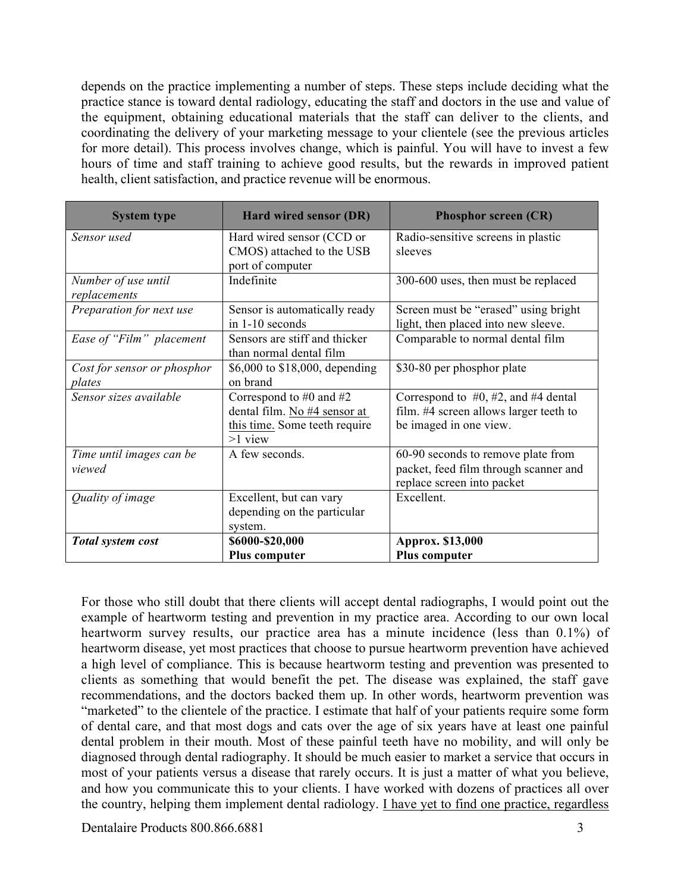depends on the practice implementing a number of steps. These steps include deciding what the practice stance is toward dental radiology, educating the staff and doctors in the use and value of the equipment, obtaining educational materials that the staff can deliver to the clients, and coordinating the delivery of your marketing message to your clientele (see the previous articles for more detail). This process involves change, which is painful. You will have to invest a few hours of time and staff training to achieve good results, but the rewards in improved patient health, client satisfaction, and practice revenue will be enormous.

| <b>System type</b>                  | Hard wired sensor (DR)                                   | <b>Phosphor screen (CR)</b>             |
|-------------------------------------|----------------------------------------------------------|-----------------------------------------|
| Sensor used                         | Hard wired sensor (CCD or                                | Radio-sensitive screens in plastic      |
|                                     | CMOS) attached to the USB<br>port of computer            | sleeves                                 |
| Number of use until<br>replacements | Indefinite                                               | 300-600 uses, then must be replaced     |
| Preparation for next use            | Sensor is automatically ready                            | Screen must be "erased" using bright    |
|                                     | in 1-10 seconds                                          | light, then placed into new sleeve.     |
| Ease of "Film" placement            | Sensors are stiff and thicker<br>than normal dental film | Comparable to normal dental film        |
| Cost for sensor or phosphor         | \$6,000 to \$18,000, depending                           | \$30-80 per phosphor plate              |
| plates                              | on brand                                                 |                                         |
| Sensor sizes available              | Correspond to #0 and #2                                  | Correspond to $#0, #2,$ and $#4$ dental |
|                                     | dental film. No #4 sensor at                             | film. #4 screen allows larger teeth to  |
|                                     | this time. Some teeth require<br>$>1$ view               | be imaged in one view.                  |
| Time until images can be            | A few seconds.                                           | 60-90 seconds to remove plate from      |
| viewed                              |                                                          | packet, feed film through scanner and   |
|                                     |                                                          | replace screen into packet              |
| Quality of image                    | Excellent, but can vary                                  | Excellent                               |
|                                     | depending on the particular                              |                                         |
|                                     | system.                                                  |                                         |
| Total system cost                   | \$6000-\$20,000                                          | Approx. \$13,000                        |
|                                     | <b>Plus computer</b>                                     | Plus computer                           |

For those who still doubt that there clients will accept dental radiographs, I would point out the example of heartworm testing and prevention in my practice area. According to our own local heartworm survey results, our practice area has a minute incidence (less than 0.1%) of heartworm disease, yet most practices that choose to pursue heartworm prevention have achieved a high level of compliance. This is because heartworm testing and prevention was presented to clients as something that would benefit the pet. The disease was explained, the staff gave recommendations, and the doctors backed them up. In other words, heartworm prevention was "marketed" to the clientele of the practice. I estimate that half of your patients require some form of dental care, and that most dogs and cats over the age of six years have at least one painful dental problem in their mouth. Most of these painful teeth have no mobility, and will only be diagnosed through dental radiography. It should be much easier to market a service that occurs in most of your patients versus a disease that rarely occurs. It is just a matter of what you believe, and how you communicate this to your clients. I have worked with dozens of practices all over the country, helping them implement dental radiology. I have yet to find one practice, regardless

Dentalaire Products 800.866.6881 3